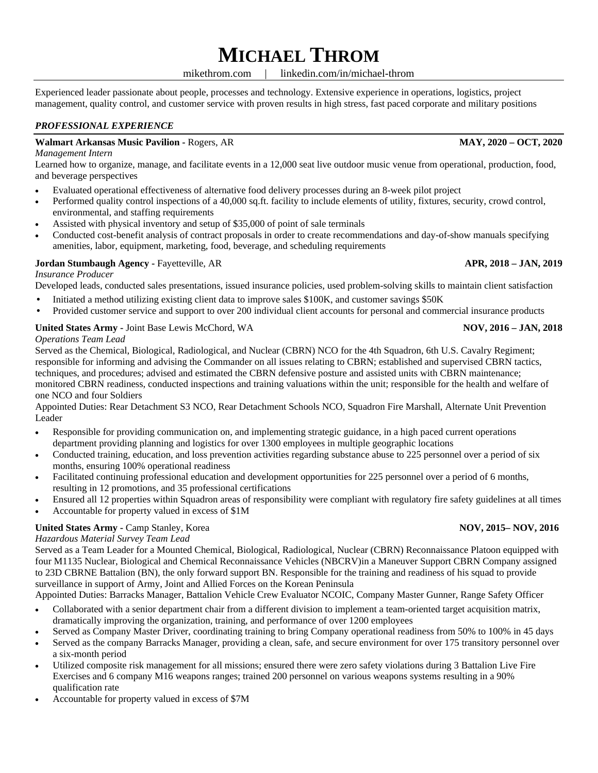# **MICHAEL THROM**

mikethrom.com | linkedin.com/in/michael-throm

Experienced leader passionate about people, processes and technology. Extensive experience in operations, logistics, project management, quality control, and customer service with proven results in high stress, fast paced corporate and military positions

# *PROFESSIONAL EXPERIENCE*

# **Walmart Arkansas Music Pavilion -** Rogers, AR **MAY, 2020 MAY, 2020 MAY, 2020 MAY, 2020**

### *Management Intern*

Learned how to organize, manage, and facilitate events in a 12,000 seat live outdoor music venue from operational, production, food, and beverage perspectives

- Evaluated operational effectiveness of alternative food delivery processes during an 8-week pilot project
- Performed quality control inspections of a 40,000 sq.ft. facility to include elements of utility, fixtures, security, crowd control, environmental, and staffing requirements
- Assisted with physical inventory and setup of \$35,000 of point of sale terminals
- Conducted cost-benefit analysis of contract proposals in order to create recommendations and day-of-show manuals specifying amenities, labor, equipment, marketing, food, beverage, and scheduling requirements

# **Jordan Stumbaugh Agency -** Fayetteville, AR **APR, 2018 APR, 2018 – JAN, 2019**

# *Insurance Producer*

Developed leads, conducted sales presentations, issued insurance policies, used problem-solving skills to maintain client satisfaction

- Initiated a method utilizing existing client data to improve sales \$100K, and customer savings \$50K
- Provided customer service and support to over 200 individual client accounts for personal and commercial insurance products

## **United States Army -** Joint Base Lewis McChord, WA **NOV, 2016** – **JAN, 2018**

## *Operations Team Lead*

Served as the Chemical, Biological, Radiological, and Nuclear (CBRN) NCO for the 4th Squadron, 6th U.S. Cavalry Regiment; responsible for informing and advising the Commander on all issues relating to CBRN; established and supervised CBRN tactics, techniques, and procedures; advised and estimated the CBRN defensive posture and assisted units with CBRN maintenance; monitored CBRN readiness, conducted inspections and training valuations within the unit; responsible for the health and welfare of one NCO and four Soldiers

Appointed Duties: Rear Detachment S3 NCO, Rear Detachment Schools NCO, Squadron Fire Marshall, Alternate Unit Prevention Leader

- Responsible for providing communication on, and implementing strategic guidance, in a high paced current operations department providing planning and logistics for over 1300 employees in multiple geographic locations
- Conducted training, education, and loss prevention activities regarding substance abuse to 225 personnel over a period of six months, ensuring 100% operational readiness
- Facilitated continuing professional education and development opportunities for 225 personnel over a period of 6 months, resulting in 12 promotions, and 35 professional certifications
- Ensured all 12 properties within Squadron areas of responsibility were compliant with regulatory fire safety guidelines at all times
- Accountable for property valued in excess of \$1M

## **United States Army -** Camp Stanley, Korea **NOV, 2016 NOV, 2015– NOV, 2016**

## *Hazardous Material Survey Team Lead*

Served as a Team Leader for a Mounted Chemical, Biological, Radiological, Nuclear (CBRN) Reconnaissance Platoon equipped with four M1135 Nuclear, Biological and Chemical Reconnaissance Vehicles (NBCRV)in a Maneuver Support CBRN Company assigned to 23D CBRNE Battalion (BN), the only forward support BN. Responsible for the training and readiness of his squad to provide surveillance in support of Army, Joint and Allied Forces on the Korean Peninsula

Appointed Duties: Barracks Manager, Battalion Vehicle Crew Evaluator NCOIC, Company Master Gunner, Range Safety Officer

- Collaborated with a senior department chair from a different division to implement a team-oriented target acquisition matrix, dramatically improving the organization, training, and performance of over 1200 employees
- Served as Company Master Driver, coordinating training to bring Company operational readiness from 50% to 100% in 45 days
- Served as the company Barracks Manager, providing a clean, safe, and secure environment for over 175 transitory personnel over a six-month period
- Utilized composite risk management for all missions; ensured there were zero safety violations during 3 Battalion Live Fire Exercises and 6 company M16 weapons ranges; trained 200 personnel on various weapons systems resulting in a 90% qualification rate
- Accountable for property valued in excess of \$7M